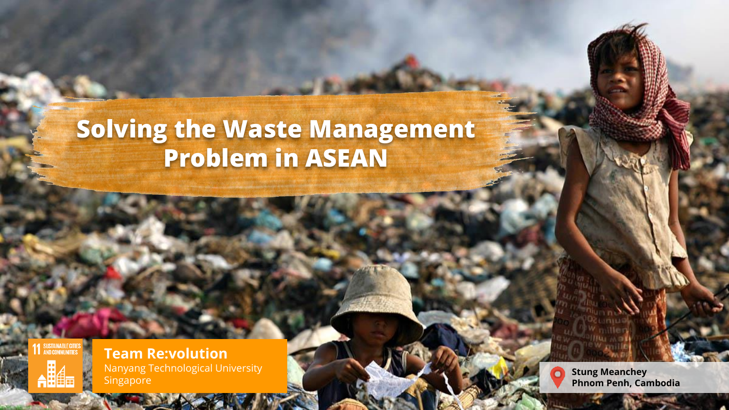## **Solving the Waste Management Problem in ASEAN**

SUSTAINAB<br>AND COMM



**Team Re:volution** Nanyang Technological University Singapore



**Stung Meanchey Phnom Penh, Cambodia**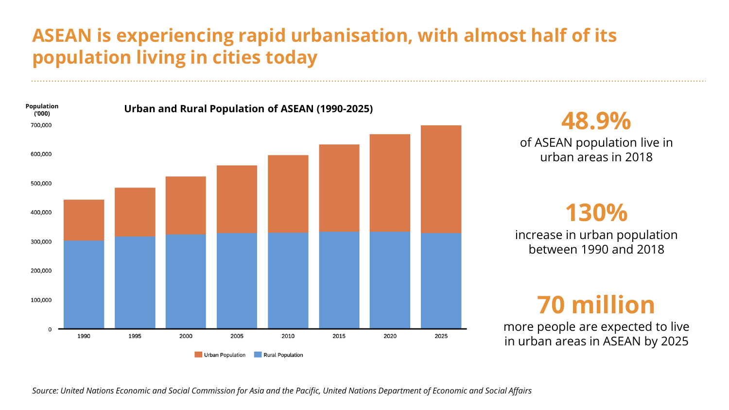### **ASEAN is experiencing rapid urbanisation, with almost half of its population living in cities today**



*Source: United Nations Economic and Social Commission for Asia and the Pacific, United Nations Department of Economic and Social Affairs*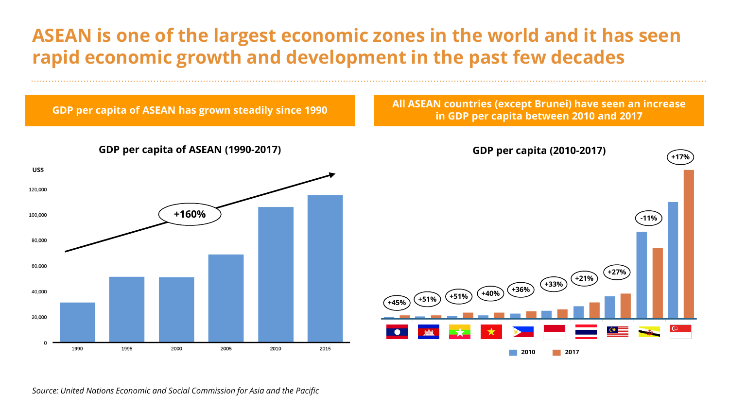### **ASEAN is one of the largest economic zones in the world and it has seen rapid economic growth and development in the past few decades**



*Source: United Nations Economic and Social Commission for Asia and the Pacific*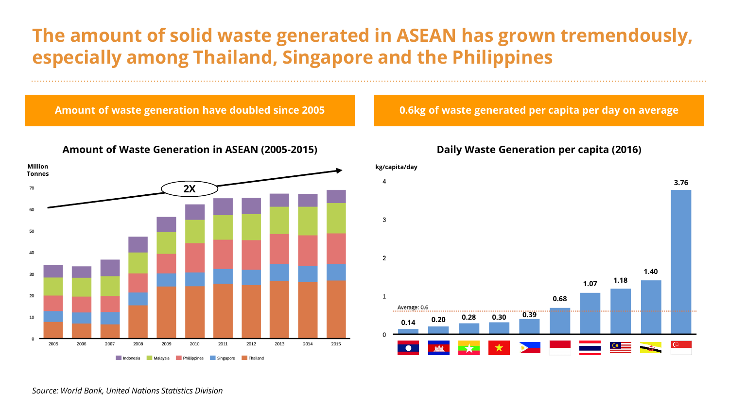### **The amount of solid waste generated in ASEAN has grown tremendously, especially among Thailand, Singapore and the Philippines**

**Amount of waste generation have doubled since 2005** 



#### **Amount of Waste Generation in ASEAN (2005-2015)**

**0.6kg of waste generated per capita per day on average**

#### **Daily Waste Generation per capita (2016)**



*Source: World Bank, United Nations Statistics Division*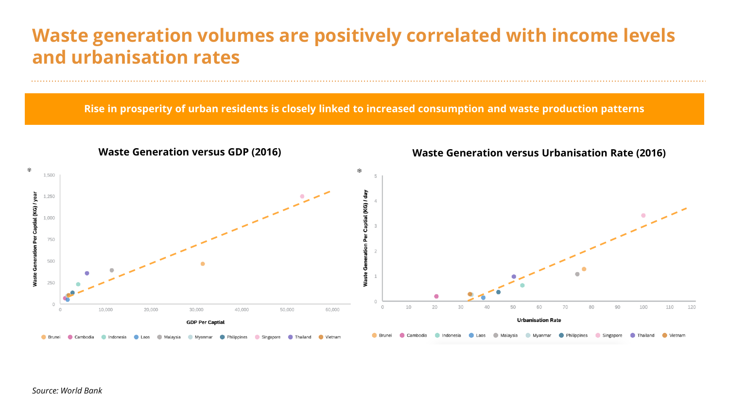### **Waste generation volumes are positively correlated with income levels and urbanisation rates**

**Rise in prosperity of urban residents is closely linked to increased consumption and waste production patterns**

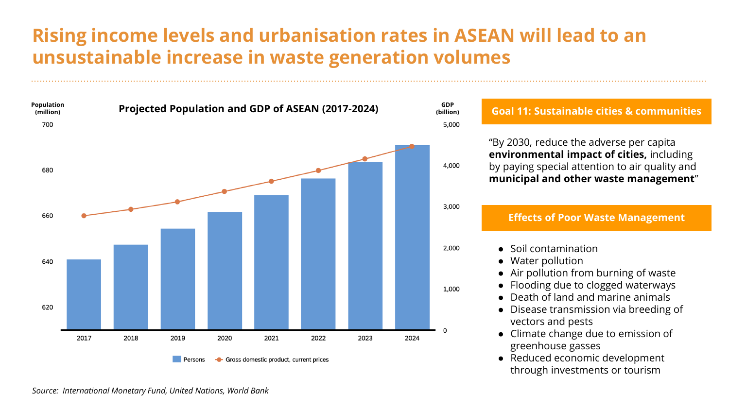### **Rising income levels and urbanisation rates in ASEAN will lead to an unsustainable increase in waste generation volumes**



"By 2030, reduce the adverse per capita **environmental impact of cities,** including by paying special attention to air quality and **municipal and other waste management**"

#### **Effects of Poor Waste Management**

- Soil contamination
	- Water pollution
	- Air pollution from burning of waste
	- Flooding due to clogged waterways
	- Death of land and marine animals
	- Disease transmission via breeding of vectors and pests
	- Climate change due to emission of greenhouse gasses
	- Reduced economic development through investments or tourism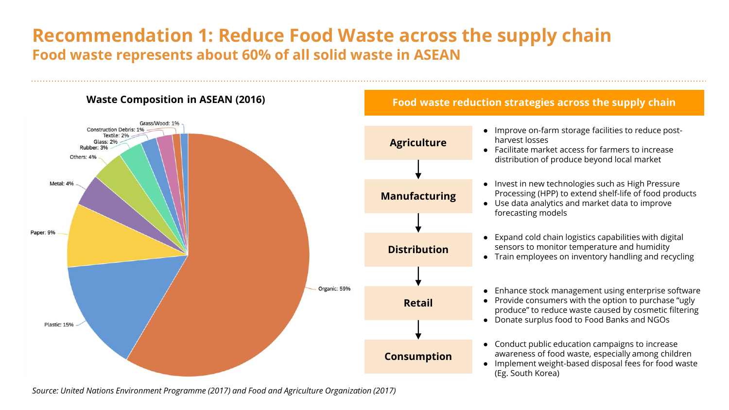### **Recommendation 1: Reduce Food Waste across the supply chain Food waste represents about 60% of all solid waste in ASEAN**



#### **Food waste reduction strategies across the supply chain**

- Improve on-farm storage facilities to reduce postharvest losses ● Facilitate market access for farmers to increase
- distribution of produce beyond local market
- Invest in new technologies such as High Pressure Processing (HPP) to extend shelf-life of food products
- Use data analytics and market data to improve forecasting models
- Expand cold chain logistics capabilities with digital sensors to monitor temperature and humidity
- Train employees on inventory handling and recycling

- Provide consumers with the option to purchase "ugly produce" to reduce waste caused by cosmetic filtering
- Donate surplus food to Food Banks and NGOs
- Conduct public education campaigns to increase awareness of food waste, especially among children
- Implement weight-based disposal fees for food waste (Eg. South Korea)

*Source: United Nations Environment Programme (2017) and Food and Agriculture Organization (2017)*

<sup>●</sup> Enhance stock management using enterprise software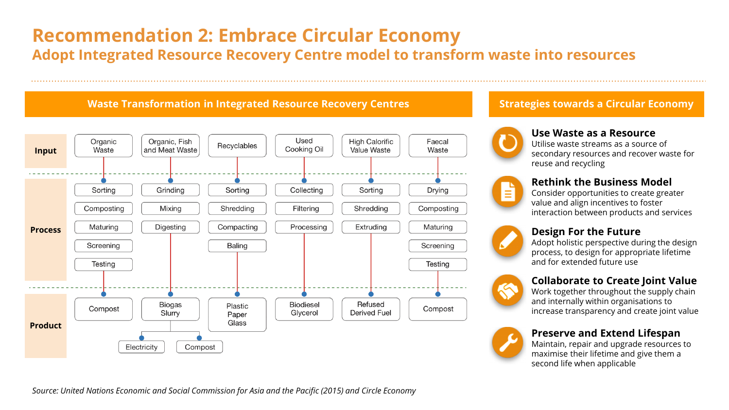### **Recommendation 2: Embrace Circular Economy**

**Adopt Integrated Resource Recovery Centre model to transform waste into resources**

### **Waste Transformation in Integrated Resource Recovery Centres**



### **Strategies towards a Circular Economy**



#### **Use Waste as a Resource**

Utilise waste streams as a source of secondary resources and recover waste for reuse and recycling



#### **Rethink the Business Model**

Consider opportunities to create greater value and align incentives to foster interaction between products and services



#### **Design For the Future**

Adopt holistic perspective during the design process, to design for appropriate lifetime and for extended future use

### **Collaborate to Create Joint Value**

Work together throughout the supply chain and internally within organisations to increase transparency and create joint value



#### **Preserve and Extend Lifespan**

Maintain, repair and upgrade resources to maximise their lifetime and give them a second life when applicable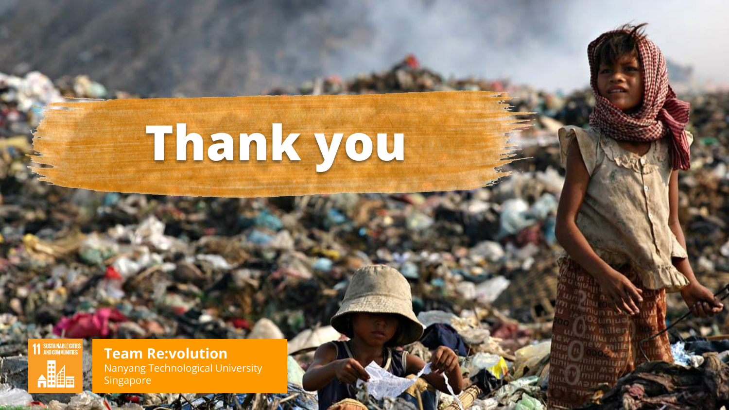# **Thank you**

SUSTAINA<br>AND COMM



**Team Re:volution** Nanyang Technological University Singapore